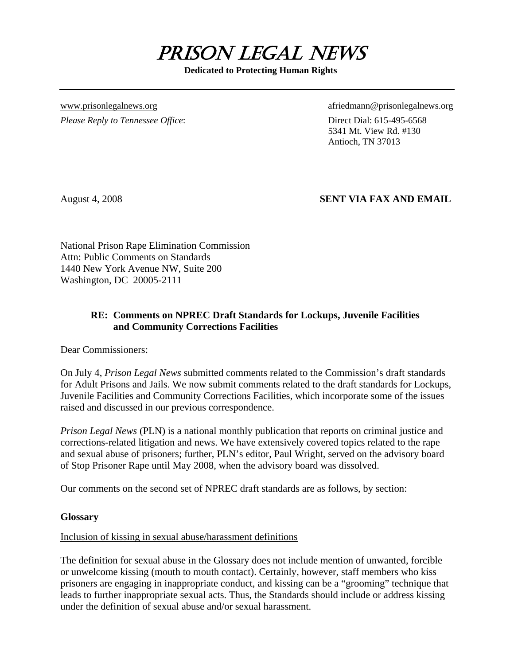

**Dedicated to Protecting Human Rights** 

*Please Reply to Tennessee Office*: Direct Dial: 615-495-6568

[www.prisonlegalnews.org](http://www.prisonlegalnews.org/) afriedmann@prisonlegalnews.org afriedmann@prisonlegalnews.org

 5341 Mt. View Rd. #130 Antioch, TN 37013

# August 4, 2008 **SENT VIA FAX AND EMAIL**

National Prison Rape Elimination Commission Attn: Public Comments on Standards 1440 New York Avenue NW, Suite 200 Washington, DC 20005-2111

# **RE: Comments on NPREC Draft Standards for Lockups, Juvenile Facilities and Community Corrections Facilities**

Dear Commissioners:

On July 4, *Prison Legal News* submitted comments related to the Commission's draft standards for Adult Prisons and Jails. We now submit comments related to the draft standards for Lockups, Juvenile Facilities and Community Corrections Facilities, which incorporate some of the issues raised and discussed in our previous correspondence.

*Prison Legal News* (PLN) is a national monthly publication that reports on criminal justice and corrections-related litigation and news. We have extensively covered topics related to the rape and sexual abuse of prisoners; further, PLN's editor, Paul Wright, served on the advisory board of Stop Prisoner Rape until May 2008, when the advisory board was dissolved.

Our comments on the second set of NPREC draft standards are as follows, by section:

#### **Glossary**

# Inclusion of kissing in sexual abuse/harassment definitions

The definition for sexual abuse in the Glossary does not include mention of unwanted, forcible or unwelcome kissing (mouth to mouth contact). Certainly, however, staff members who kiss prisoners are engaging in inappropriate conduct, and kissing can be a "grooming" technique that leads to further inappropriate sexual acts. Thus, the Standards should include or address kissing under the definition of sexual abuse and/or sexual harassment.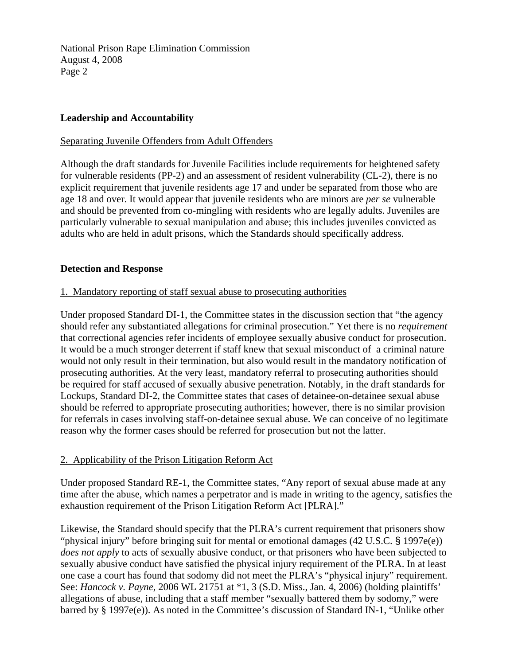## **Leadership and Accountability**

#### Separating Juvenile Offenders from Adult Offenders

Although the draft standards for Juvenile Facilities include requirements for heightened safety for vulnerable residents (PP-2) and an assessment of resident vulnerability (CL-2), there is no explicit requirement that juvenile residents age 17 and under be separated from those who are age 18 and over. It would appear that juvenile residents who are minors are *per se* vulnerable and should be prevented from co-mingling with residents who are legally adults. Juveniles are particularly vulnerable to sexual manipulation and abuse; this includes juveniles convicted as adults who are held in adult prisons, which the Standards should specifically address.

#### **Detection and Response**

#### 1. Mandatory reporting of staff sexual abuse to prosecuting authorities

Under proposed Standard DI-1, the Committee states in the discussion section that "the agency should refer any substantiated allegations for criminal prosecution." Yet there is no *requirement* that correctional agencies refer incidents of employee sexually abusive conduct for prosecution. It would be a much stronger deterrent if staff knew that sexual misconduct of a criminal nature would not only result in their termination, but also would result in the mandatory notification of prosecuting authorities. At the very least, mandatory referral to prosecuting authorities should be required for staff accused of sexually abusive penetration. Notably, in the draft standards for Lockups, Standard DI-2, the Committee states that cases of detainee-on-detainee sexual abuse should be referred to appropriate prosecuting authorities; however, there is no similar provision for referrals in cases involving staff-on-detainee sexual abuse. We can conceive of no legitimate reason why the former cases should be referred for prosecution but not the latter.

# 2. Applicability of the Prison Litigation Reform Act

Under proposed Standard RE-1, the Committee states, "Any report of sexual abuse made at any time after the abuse, which names a perpetrator and is made in writing to the agency, satisfies the exhaustion requirement of the Prison Litigation Reform Act [PLRA]."

Likewise, the Standard should specify that the PLRA's current requirement that prisoners show "physical injury" before bringing suit for mental or emotional damages (42 U.S.C. § 1997e(e)) *does not apply* to acts of sexually abusive conduct, or that prisoners who have been subjected to sexually abusive conduct have satisfied the physical injury requirement of the PLRA. In at least one case a court has found that sodomy did not meet the PLRA's "physical injury" requirement. See: *Hancock v. Payne*, 2006 WL 21751 at \*1, 3 (S.D. Miss., Jan. 4, 2006) (holding plaintiffs' allegations of abuse, including that a staff member "sexually battered them by sodomy," were barred by § 1997e(e)). As noted in the Committee's discussion of Standard IN-1, "Unlike other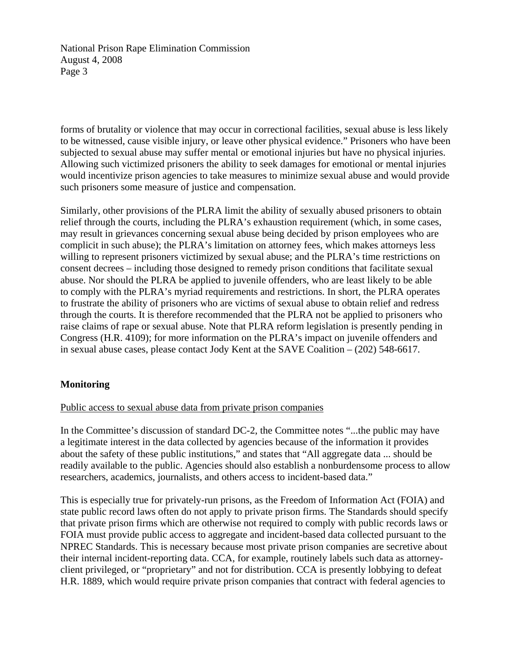forms of brutality or violence that may occur in correctional facilities, sexual abuse is less likely to be witnessed, cause visible injury, or leave other physical evidence." Prisoners who have been subjected to sexual abuse may suffer mental or emotional injuries but have no physical injuries. Allowing such victimized prisoners the ability to seek damages for emotional or mental injuries would incentivize prison agencies to take measures to minimize sexual abuse and would provide such prisoners some measure of justice and compensation.

Similarly, other provisions of the PLRA limit the ability of sexually abused prisoners to obtain relief through the courts, including the PLRA's exhaustion requirement (which, in some cases, may result in grievances concerning sexual abuse being decided by prison employees who are complicit in such abuse); the PLRA's limitation on attorney fees, which makes attorneys less willing to represent prisoners victimized by sexual abuse; and the PLRA's time restrictions on consent decrees – including those designed to remedy prison conditions that facilitate sexual abuse. Nor should the PLRA be applied to juvenile offenders, who are least likely to be able to comply with the PLRA's myriad requirements and restrictions. In short, the PLRA operates to frustrate the ability of prisoners who are victims of sexual abuse to obtain relief and redress through the courts. It is therefore recommended that the PLRA not be applied to prisoners who raise claims of rape or sexual abuse. Note that PLRA reform legislation is presently pending in Congress (H.R. 4109); for more information on the PLRA's impact on juvenile offenders and in sexual abuse cases, please contact Jody Kent at the SAVE Coalition – (202) 548-6617.

#### **Monitoring**

#### Public access to sexual abuse data from private prison companies

In the Committee's discussion of standard DC-2, the Committee notes "...the public may have a legitimate interest in the data collected by agencies because of the information it provides about the safety of these public institutions," and states that "All aggregate data ... should be readily available to the public. Agencies should also establish a nonburdensome process to allow researchers, academics, journalists, and others access to incident-based data."

This is especially true for privately-run prisons, as the Freedom of Information Act (FOIA) and state public record laws often do not apply to private prison firms. The Standards should specify that private prison firms which are otherwise not required to comply with public records laws or FOIA must provide public access to aggregate and incident-based data collected pursuant to the NPREC Standards. This is necessary because most private prison companies are secretive about their internal incident-reporting data. CCA, for example, routinely labels such data as attorneyclient privileged, or "proprietary" and not for distribution. CCA is presently lobbying to defeat H.R. 1889, which would require private prison companies that contract with federal agencies to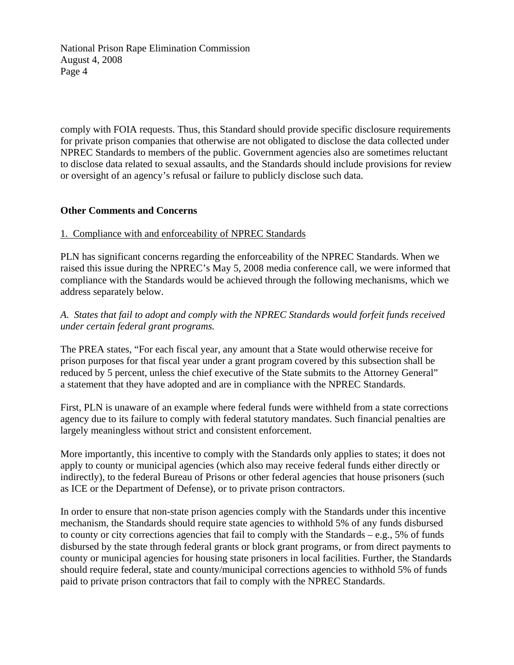comply with FOIA requests. Thus, this Standard should provide specific disclosure requirements for private prison companies that otherwise are not obligated to disclose the data collected under NPREC Standards to members of the public. Government agencies also are sometimes reluctant to disclose data related to sexual assaults, and the Standards should include provisions for review or oversight of an agency's refusal or failure to publicly disclose such data.

## **Other Comments and Concerns**

## 1. Compliance with and enforceability of NPREC Standards

PLN has significant concerns regarding the enforceability of the NPREC Standards. When we raised this issue during the NPREC's May 5, 2008 media conference call, we were informed that compliance with the Standards would be achieved through the following mechanisms, which we address separately below.

# *A. States that fail to adopt and comply with the NPREC Standards would forfeit funds received under certain federal grant programs.*

The PREA states, "For each fiscal year, any amount that a State would otherwise receive for prison purposes for that fiscal year under a grant program covered by this subsection shall be reduced by 5 percent, unless the chief executive of the State submits to the Attorney General" a statement that they have adopted and are in compliance with the NPREC Standards.

First, PLN is unaware of an example where federal funds were withheld from a state corrections agency due to its failure to comply with federal statutory mandates. Such financial penalties are largely meaningless without strict and consistent enforcement.

More importantly, this incentive to comply with the Standards only applies to states; it does not apply to county or municipal agencies (which also may receive federal funds either directly or indirectly), to the federal Bureau of Prisons or other federal agencies that house prisoners (such as ICE or the Department of Defense), or to private prison contractors.

In order to ensure that non-state prison agencies comply with the Standards under this incentive mechanism, the Standards should require state agencies to withhold 5% of any funds disbursed to county or city corrections agencies that fail to comply with the Standards – e.g., 5% of funds disbursed by the state through federal grants or block grant programs, or from direct payments to county or municipal agencies for housing state prisoners in local facilities. Further, the Standards should require federal, state and county/municipal corrections agencies to withhold 5% of funds paid to private prison contractors that fail to comply with the NPREC Standards.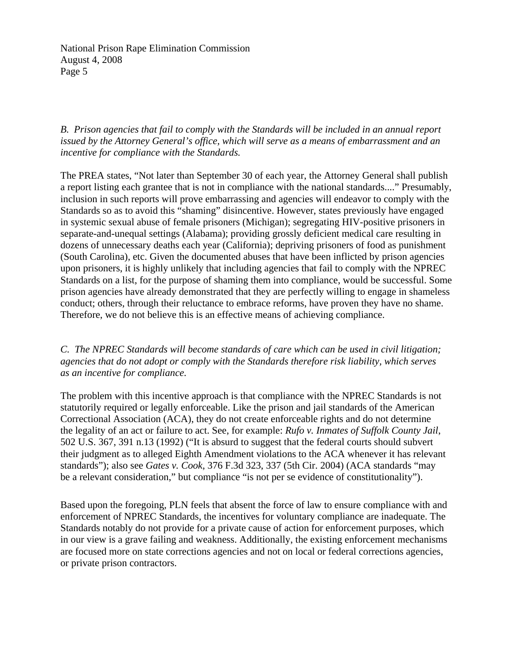*B. Prison agencies that fail to comply with the Standards will be included in an annual report issued by the Attorney General's office, which will serve as a means of embarrassment and an incentive for compliance with the Standards.* 

The PREA states, "Not later than September 30 of each year, the Attorney General shall publish a report listing each grantee that is not in compliance with the national standards...." Presumably, inclusion in such reports will prove embarrassing and agencies will endeavor to comply with the Standards so as to avoid this "shaming" disincentive. However, states previously have engaged in systemic sexual abuse of female prisoners (Michigan); segregating HIV-positive prisoners in separate-and-unequal settings (Alabama); providing grossly deficient medical care resulting in dozens of unnecessary deaths each year (California); depriving prisoners of food as punishment (South Carolina), etc. Given the documented abuses that have been inflicted by prison agencies upon prisoners, it is highly unlikely that including agencies that fail to comply with the NPREC Standards on a list, for the purpose of shaming them into compliance, would be successful. Some prison agencies have already demonstrated that they are perfectly willing to engage in shameless conduct; others, through their reluctance to embrace reforms, have proven they have no shame. Therefore, we do not believe this is an effective means of achieving compliance.

*C. The NPREC Standards will become standards of care which can be used in civil litigation; agencies that do not adopt or comply with the Standards therefore risk liability, which serves as an incentive for compliance.* 

The problem with this incentive approach is that compliance with the NPREC Standards is not statutorily required or legally enforceable. Like the prison and jail standards of the American Correctional Association (ACA), they do not create enforceable rights and do not determine the legality of an act or failure to act. See, for example: *Rufo v. Inmates of Suffolk County Jail*, 502 U.S. 367, 391 n.13 (1992) ("It is absurd to suggest that the federal courts should subvert their judgment as to alleged Eighth Amendment violations to the ACA whenever it has relevant standards"); also see *Gates v. Cook*, 376 F.3d 323, 337 (5th Cir. 2004) (ACA standards "may be a relevant consideration," but compliance "is not per se evidence of constitutionality").

Based upon the foregoing, PLN feels that absent the force of law to ensure compliance with and enforcement of NPREC Standards, the incentives for voluntary compliance are inadequate. The Standards notably do not provide for a private cause of action for enforcement purposes, which in our view is a grave failing and weakness. Additionally, the existing enforcement mechanisms are focused more on state corrections agencies and not on local or federal corrections agencies, or private prison contractors.